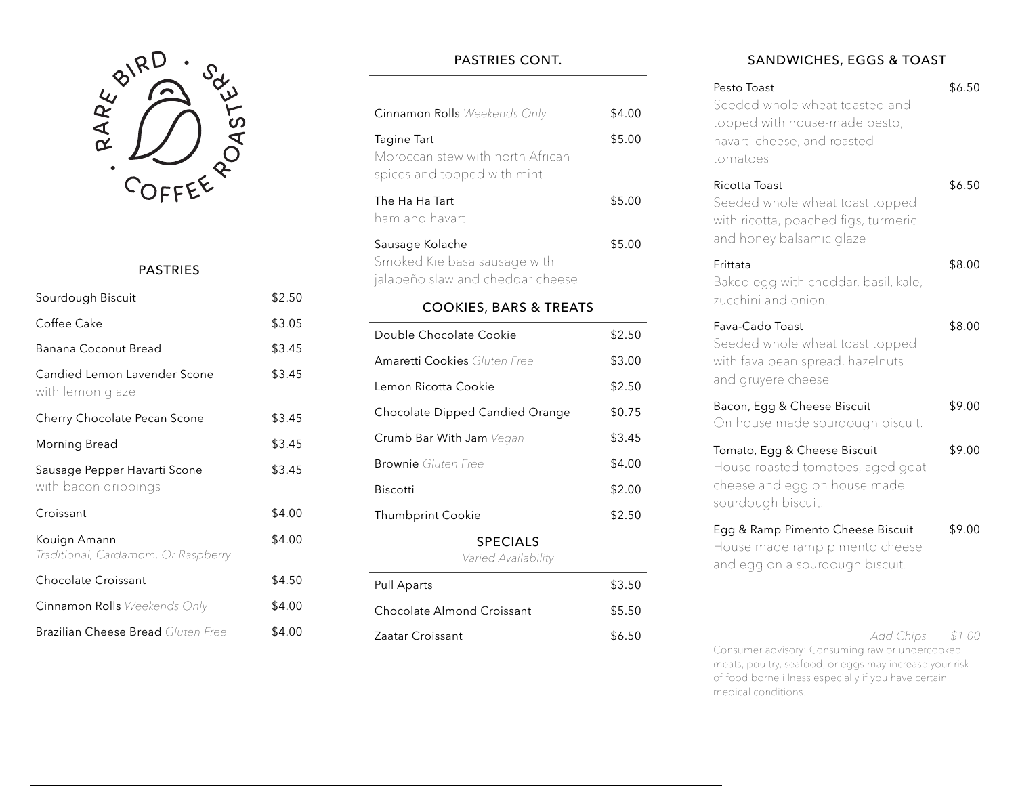

## PASTRIES

| Sourdough Biscuit                                    | \$2.50 |
|------------------------------------------------------|--------|
| Coffee Cake                                          | \$3.05 |
| Banana Coconut Bread                                 | \$3.45 |
| Candied Lemon Lavender Scone<br>with lemon glaze     | \$3.45 |
| Cherry Chocolate Pecan Scone                         | \$3.45 |
| Morning Bread                                        | \$3.45 |
| Sausage Pepper Havarti Scone<br>with bacon drippings | \$3.45 |
| Croissant                                            | \$4.00 |
| Kouign Amann<br>Traditional, Cardamom, Or Raspberry  | \$4.00 |
| Chocolate Croissant                                  | \$4.50 |
| <b>Cinnamon Rolls</b> Weekends Only                  | \$4.00 |
| <b>Brazilian Cheese Bread</b> Gluten Free            | \$4.00 |

# PASTRIES CONT.

| Cinnamon Rolls Weekends Only                                                        | \$4.00 |  |
|-------------------------------------------------------------------------------------|--------|--|
| Tagine Tart<br>Moroccan stew with north African<br>spices and topped with mint      | \$5.00 |  |
| The Ha Ha Tart<br>ham and havarti                                                   | \$5.00 |  |
| Sausage Kolache<br>Smoked Kielbasa sausage with<br>jalapeño slaw and cheddar cheese | \$5.00 |  |
| <b>COOKIES, BARS &amp; TREATS</b>                                                   |        |  |
| Double Chocolate Cookie                                                             | \$2.50 |  |
| <b>Amaretti Cookies</b> Gluten Free                                                 | \$3.00 |  |
| Lemon Ricotta Cookie                                                                | \$2.50 |  |
| Chocolate Dipped Candied Orange                                                     | \$0.75 |  |
| Crumb Bar With Jam Vegan                                                            | \$3.45 |  |
| <b>Brownie</b> Gluten Free                                                          | \$4.00 |  |
| <b>Biscotti</b>                                                                     | \$2.00 |  |
| <b>Thumbprint Cookie</b>                                                            | \$2.50 |  |
| <b>SPECIALS</b><br>Varied Availability                                              |        |  |
|                                                                                     |        |  |

| Pull Aparts                | \$3.50 |
|----------------------------|--------|
| Chocolate Almond Croissant | \$5.50 |
| Zaatar Croissant           | \$6.50 |

### SANDWICHES, EGGS & TOAST

| Pesto Toast<br>Seeded whole wheat toasted and<br>topped with house-made pesto,<br>havarti cheese, and roasted<br>tomatoes | \$6.50 |
|---------------------------------------------------------------------------------------------------------------------------|--------|
| Ricotta Toast<br>Seeded whole wheat toast topped<br>with ricotta, poached figs, turmeric<br>and honey balsamic glaze      | \$6.50 |
| Frittata<br>Baked egg with cheddar, basil, kale,<br>zucchini and onion.                                                   | \$8.00 |
| Fava-Cado Toast<br>Seeded whole wheat toast topped<br>with fava bean spread, hazelnuts<br>and gruyere cheese              | \$8.00 |
| Bacon, Egg & Cheese Biscuit<br>On house made sourdough biscuit.                                                           | \$9.00 |
| Tomato, Egg & Cheese Biscuit<br>House roasted tomatoes, aged goat<br>cheese and egg on house made<br>sourdough biscuit.   | \$9.00 |
| Egg & Ramp Pimento Cheese Biscuit<br>House made ramp pimento cheese<br>and egg on a sourdough biscuit.                    | \$9.00 |
|                                                                                                                           |        |

*Add Chips \$1.00*

Consumer advisory: Consuming raw or undercooked meats, poultry, seafood, or eggs may increase your risk of food borne illness especially if you have certain medical conditions.